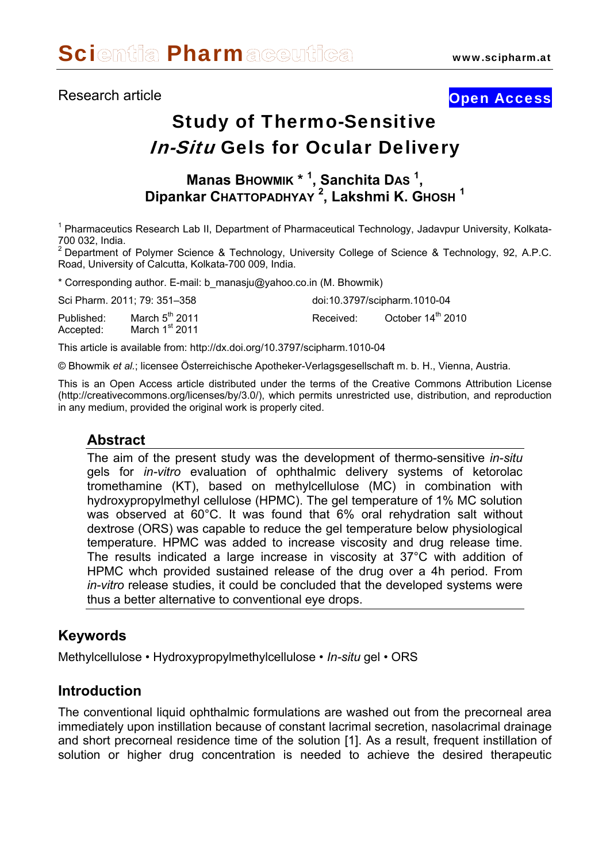# Research article **Contract Contract Contract Contract Contract Contract Contract Contract Contract Contract Contract Contract Contract Contract Contract Contract Contract Contract Contract Contract Contract Contract Contra**

# Study of Thermo-Sensitive **In-Situ Gels for Ocular Delivery**

# **Manas BHOWMIK \* <sup>1</sup> , Sanchita DAS <sup>1</sup> , Dipankar CHATTOPADHYAY <sup>2</sup> , Lakshmi K. GHOSH <sup>1</sup>**

<sup>1</sup> Pharmaceutics Research Lab II, Department of Pharmaceutical Technology, Jadavpur University, Kolkata-700 032, India.

<sup>2</sup> Department of Polymer Science & Technology, University College of Science & Technology, 92, A.P.C. Road, University of Calcutta, Kolkata-700 009, India.

\* Corresponding author. E-mail: [b\\_manasju@yahoo.co.in](mailto:b_manasju@yahoo.co.in) (M. Bhowmik)

| Sci Pharm. 2011; 79: 351-358 |                                                |           | doi:10.3797/scipharm.1010-04  |
|------------------------------|------------------------------------------------|-----------|-------------------------------|
| Published:<br>Accepted:      | March $5^{\text{th}}$ 2011<br>March $1st$ 2011 | Received: | October 14 <sup>th</sup> 2010 |

This article is available from: http://dx.doi.org/10.3797/scipharm.1010-04

© Bhowmik *et al.*; licensee Österreichische Apotheker-Verlagsgesellschaft m. b. H., Vienna, Austria.

This is an Open Access article distributed under the terms of the Creative Commons Attribution License [\(http://creativecommons.org/licenses/by/3.0/](http://creativecommons.org/licenses/by/3.0/)), which permits unrestricted use, distribution, and reproduction in any medium, provided the original work is properly cited.

## **Abstract**

The aim of the present study was the development of thermo-sensitive *in-situ* gels for *in-vitro* evaluation of ophthalmic delivery systems of ketorolac tromethamine (KT), based on methylcellulose (MC) in combination with hydroxypropylmethyl cellulose (HPMC). The gel temperature of 1% MC solution was observed at 60°C. It was found that 6% oral rehydration salt without dextrose (ORS) was capable to reduce the gel temperature below physiological temperature. HPMC was added to increase viscosity and drug release time. The results indicated a large increase in viscosity at 37°C with addition of HPMC whch provided sustained release of the drug over a 4h period. From *in-vitro* release studies, it could be concluded that the developed systems were thus a better alternative to conventional eye drops.

#### **Keywords**

Methylcellulose • Hydroxypropylmethylcellulose • *In-situ* gel • ORS

#### **Introduction**

The conventional liquid ophthalmic formulations are washed out from the precorneal area immediately upon instillation because of constant lacrimal secretion, nasolacrimal drainage and short precorneal residence time of the solution [1]. As a result, frequent instillation of solution or higher drug concentration is needed to achieve the desired therapeutic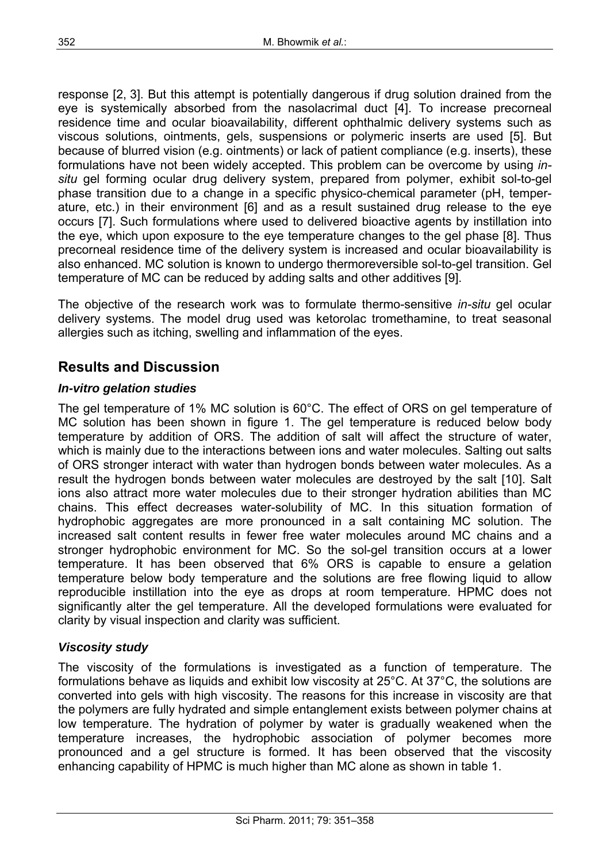response [2, 3]. But this attempt is potentially dangerous if drug solution drained from the eye is systemically absorbed from the nasolacrimal duct [4]. To increase precorneal residence time and ocular bioavailability, different ophthalmic delivery systems such as viscous solutions, ointments, gels, suspensions or polymeric inserts are used [5]. But because of blurred vision (e.g. ointments) or lack of patient compliance (e.g. inserts), these formulations have not been widely accepted. This problem can be overcome by using *insitu* gel forming ocular drug delivery system, prepared from polymer, exhibit sol-to-gel phase transition due to a change in a specific physico-chemical parameter (pH, temperature, etc.) in their environment [6] and as a result sustained drug release to the eye occurs [7]. Such formulations where used to delivered bioactive agents by instillation into the eye, which upon exposure to the eye temperature changes to the gel phase [8]. Thus precorneal residence time of the delivery system is increased and ocular bioavailability is also enhanced. MC solution is known to undergo thermoreversible sol-to-gel transition. Gel temperature of MC can be reduced by adding salts and other additives [9].

The objective of the research work was to formulate thermo-sensitive *in-situ* gel ocular delivery systems. The model drug used was ketorolac tromethamine, to treat seasonal allergies such as itching, swelling and inflammation of the eyes.

# **Results and Discussion**

#### *In-vitro gelation studies*

The gel temperature of 1% MC solution is 60°C. The effect of ORS on gel temperature of MC solution has been shown in figure 1. The gel temperature is reduced below body temperature by addition of ORS. The addition of salt will affect the structure of water, which is mainly due to the interactions between ions and water molecules. Salting out salts of ORS stronger interact with water than hydrogen bonds between water molecules. As a result the hydrogen bonds between water molecules are destroyed by the salt [10]. Salt ions also attract more water molecules due to their stronger hydration abilities than MC chains. This effect decreases water-solubility of MC. In this situation formation of hydrophobic aggregates are more pronounced in a salt containing MC solution. The increased salt content results in fewer free water molecules around MC chains and a stronger hydrophobic environment for MC. So the sol-gel transition occurs at a lower temperature. It has been observed that 6% ORS is capable to ensure a gelation temperature below body temperature and the solutions are free flowing liquid to allow reproducible instillation into the eye as drops at room temperature. HPMC does not significantly alter the gel temperature. All the developed formulations were evaluated for clarity by visual inspection and clarity was sufficient.

#### *Viscosity study*

The viscosity of the formulations is investigated as a function of temperature. The formulations behave as liquids and exhibit low viscosity at 25°C. At 37°C, the solutions are converted into gels with high viscosity. The reasons for this increase in viscosity are that the polymers are fully hydrated and simple entanglement exists between polymer chains at low temperature. The hydration of polymer by water is gradually weakened when the temperature increases, the hydrophobic association of polymer becomes more pronounced and a gel structure is formed. It has been observed that the viscosity enhancing capability of HPMC is much higher than MC alone as shown in table 1.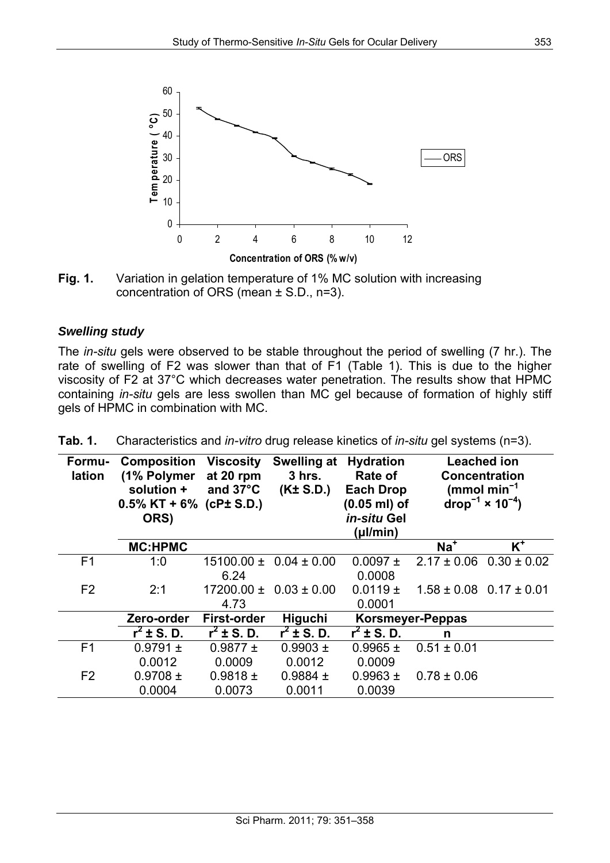

**Fig. 1.** Variation in gelation temperature of 1% MC solution with increasing concentration of ORS (mean ± S.D., n=3).

#### *Swelling study*

The *in-situ* gels were observed to be stable throughout the period of swelling (7 hr.). The rate of swelling of F2 was slower than that of F1 (Table 1). This is due to the higher viscosity of F2 at 37°C which decreases water penetration. The results show that HPMC containing *in-situ* gels are less swollen than MC gel because of formation of highly stiff gels of HPMC in combination with MC.

| Formu-<br>lation | <b>Composition</b><br>(1% Polymer<br>solution +<br>$0.5\%$ KT + 6% (cP± S.D.)<br>ORS) | <b>Viscosity</b><br>at 20 rpm<br>and $37^{\circ}$ C | <b>Swelling at</b><br>$3$ hrs.<br>(K± S.D.) | <b>Hydration</b><br>Rate of<br><b>Each Drop</b><br>$(0.05$ ml) of<br>in-situ Gel<br>(µl/min) |                  | <b>Leached ion</b><br><b>Concentration</b><br>(mmol min <sup>-1</sup> )<br>drop <sup>-1</sup> $\times$ 10 <sup>-4</sup> ) |
|------------------|---------------------------------------------------------------------------------------|-----------------------------------------------------|---------------------------------------------|----------------------------------------------------------------------------------------------|------------------|---------------------------------------------------------------------------------------------------------------------------|
|                  | <b>MC:HPMC</b>                                                                        |                                                     |                                             |                                                                                              | $Na+$            | $K^+$                                                                                                                     |
| F <sub>1</sub>   | 1:0                                                                                   | 15100.00 ±<br>6.24                                  | $0.04 \pm 0.00$                             | $0.0097 \pm$<br>0.0008                                                                       | $2.17 \pm 0.06$  | $0.30 \pm 0.02$                                                                                                           |
| F <sub>2</sub>   | 2:1                                                                                   | $17200.00 \pm$<br>4.73                              | $0.03 \pm 0.00$                             | $0.0119 \pm$<br>0.0001                                                                       |                  | $1.58 \pm 0.08$ 0.17 $\pm$ 0.01                                                                                           |
|                  | Zero-order                                                                            | First-order                                         | <b>Higuchi</b>                              |                                                                                              | Korsmeyer-Peppas |                                                                                                                           |
|                  | $r^2 \pm S$ , D.                                                                      | $r^2 \pm S$ , D.                                    | $r^2 \pm S$ , D.                            | $r^2 \pm S$ . D.                                                                             | n                |                                                                                                                           |
| F <sub>1</sub>   | $0.9791 \pm$                                                                          | $0.9877 \pm$                                        | $0.9903 \pm$                                | $0.9965 \pm$                                                                                 | $0.51 \pm 0.01$  |                                                                                                                           |
|                  | 0.0012                                                                                | 0.0009                                              | 0.0012                                      | 0.0009                                                                                       |                  |                                                                                                                           |
| F <sub>2</sub>   | $0.9708 \pm$                                                                          | $0.9818 \pm$                                        | $0.9884 \pm$                                | $0.9963 \pm$                                                                                 | $0.78 \pm 0.06$  |                                                                                                                           |
|                  | 0.0004                                                                                | 0.0073                                              | 0.0011                                      | 0.0039                                                                                       |                  |                                                                                                                           |

**Tab. 1.** Characteristics and *in-vitro* drug release kinetics of *in-situ* gel systems (n=3).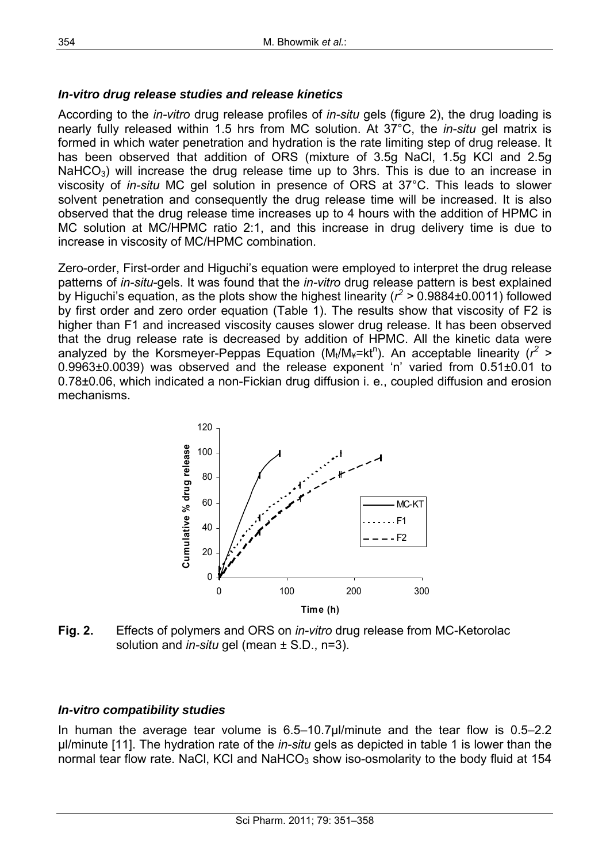#### *In-vitro drug release studies and release kinetics*

According to the *in-vitro* drug release profiles of *in-situ* gels (figure 2), the drug loading is nearly fully released within 1.5 hrs from MC solution. At 37°C, the *in-situ* gel matrix is formed in which water penetration and hydration is the rate limiting step of drug release. It has been observed that addition of ORS (mixture of 3.5g NaCl, 1.5g KCl and 2.5g  $NafCO<sub>3</sub>$ ) will increase the drug release time up to 3hrs. This is due to an increase in viscosity of *in-situ* MC gel solution in presence of ORS at 37°C. This leads to slower solvent penetration and consequently the drug release time will be increased. It is also observed that the drug release time increases up to 4 hours with the addition of HPMC in MC solution at MC/HPMC ratio 2:1, and this increase in drug delivery time is due to increase in viscosity of MC/HPMC combination.

Zero-order, First-order and Higuchi's equation were employed to interpret the drug release patterns of *in-situ*-gels. It was found that the *in-vitro* drug release pattern is best explained by Higuchi's equation, as the plots show the highest linearity ( $r^2$  > 0.9884±0.0011) followed by first order and zero order equation (Table 1). The results show that viscosity of F2 is higher than F1 and increased viscosity causes slower drug release. It has been observed that the drug release rate is decreased by addition of HPMC. All the kinetic data were analyzed by the Korsmeyer-Peppas Equation (M<sub>t</sub>/M<sub>¥</sub>=kt<sup>n</sup>). An acceptable linearity (r<sup>2</sup> > 0.9963±0.0039) was observed and the release exponent 'n' varied from 0.51±0.01 to 0.78±0.06, which indicated a non-Fickian drug diffusion i. e., coupled diffusion and erosion mechanisms.



**Fig. 2.** Effects of polymers and ORS on *in-vitro* drug release from MC-Ketorolac solution and *in-situ* gel (mean ± S.D., n=3).

#### *In-vitro compatibility studies*

In human the average tear volume is 6.5–10.7µl/minute and the tear flow is 0.5–2.2 µl/minute [11]. The hydration rate of the *in-situ* gels as depicted in table 1 is lower than the normal tear flow rate. NaCl, KCl and NaHCO<sub>3</sub> show iso-osmolarity to the body fluid at 154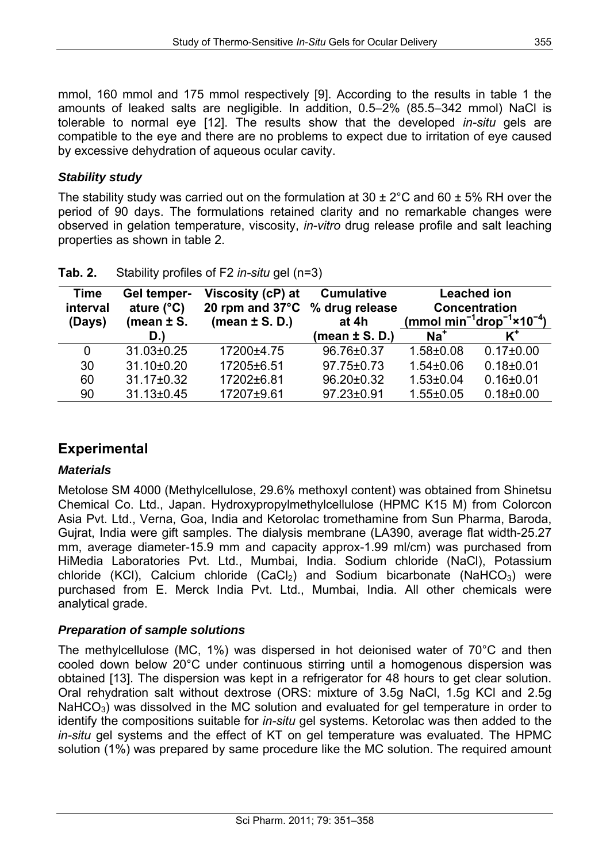mmol, 160 mmol and 175 mmol respectively [9]. According to the results in table 1 the amounts of leaked salts are negligible. In addition, 0.5–2% (85.5–342 mmol) NaCl is tolerable to normal eye [12]. The results show that the developed *in-situ* gels are compatible to the eye and there are no problems to expect due to irritation of eye caused by excessive dehydration of aqueous ocular cavity.

## *Stability study*

The stability study was carried out on the formulation at  $30 \pm 2^{\circ}$ C and  $60 \pm 5\%$  RH over the period of 90 days. The formulations retained clarity and no remarkable changes were observed in gelation temperature, viscosity, *in-vitro* drug release profile and salt leaching properties as shown in table 2.

| <b>Time</b><br>interval<br>(Days) | Gel temper-<br>ature $(^{\circ}C)$<br>(mean $\pm$ S.<br>D.) | Viscosity (cP) at<br>20 rpm and $37^{\circ}$ C<br>(mean $\pm$ S. D.) | <b>Cumulative</b><br>% drug release<br>at 4h<br>(mean $\pm$ S. D.) | $Na+$           | <b>Leached ion</b><br><b>Concentration</b><br>(mmol min <sup>-1</sup> drop <sup>-1</sup> ×10 <sup>-4</sup> ) |
|-----------------------------------|-------------------------------------------------------------|----------------------------------------------------------------------|--------------------------------------------------------------------|-----------------|--------------------------------------------------------------------------------------------------------------|
| 0                                 | 31.03±0.25                                                  | 17200±4.75                                                           | 96.76±0.37                                                         | $1.58 + 0.08$   | $0.17 \pm 0.00$                                                                                              |
| 30                                | 31.10±0.20                                                  | 17205±6.51                                                           | 97.75±0.73                                                         | $1.54 \pm 0.06$ | $0.18 + 0.01$                                                                                                |
| 60                                | 31.17±0.32                                                  | 17202±6.81                                                           | 96.20±0.32                                                         | $1.53 \pm 0.04$ | $0.16 \pm 0.01$                                                                                              |
| 90                                | 31.13±0.45                                                  | 17207±9.61                                                           | 97.23±0.91                                                         | $1.55 \pm 0.05$ | $0.18 \pm 0.00$                                                                                              |

| Tab. 2. | Stability profiles of F2 in-situ gel (n=3) |
|---------|--------------------------------------------|

# **Experimental**

## *Materials*

Metolose SM 4000 (Methylcellulose, 29.6% methoxyl content) was obtained from Shinetsu Chemical Co. Ltd., Japan. Hydroxypropylmethylcellulose (HPMC K15 M) from Colorcon Asia Pvt. Ltd., Verna, Goa, India and Ketorolac tromethamine from Sun Pharma, Baroda, Gujrat, India were gift samples. The dialysis membrane (LA390, average flat width-25.27 mm, average diameter-15.9 mm and capacity approx-1.99 ml/cm) was purchased from HiMedia Laboratories Pvt. Ltd., Mumbai, India. Sodium chloride (NaCl), Potassium chloride (KCl), Calcium chloride  $(CaCl<sub>2</sub>)$  and Sodium bicarbonate (NaHCO<sub>3</sub>) were purchased from E. Merck India Pvt. Ltd., Mumbai, India. All other chemicals were analytical grade.

## *Preparation of sample solutions*

The methylcellulose (MC, 1%) was dispersed in hot deionised water of 70°C and then cooled down below 20°C under continuous stirring until a homogenous dispersion was obtained [13]. The dispersion was kept in a refrigerator for 48 hours to get clear solution. Oral rehydration salt without dextrose (ORS: mixture of 3.5g NaCl, 1.5g KCl and 2.5g  $NafCO<sub>3</sub>$ ) was dissolved in the MC solution and evaluated for gel temperature in order to identify the compositions suitable for *in-situ* gel systems. Ketorolac was then added to the *in-situ* gel systems and the effect of KT on gel temperature was evaluated. The HPMC solution (1%) was prepared by same procedure like the MC solution. The required amount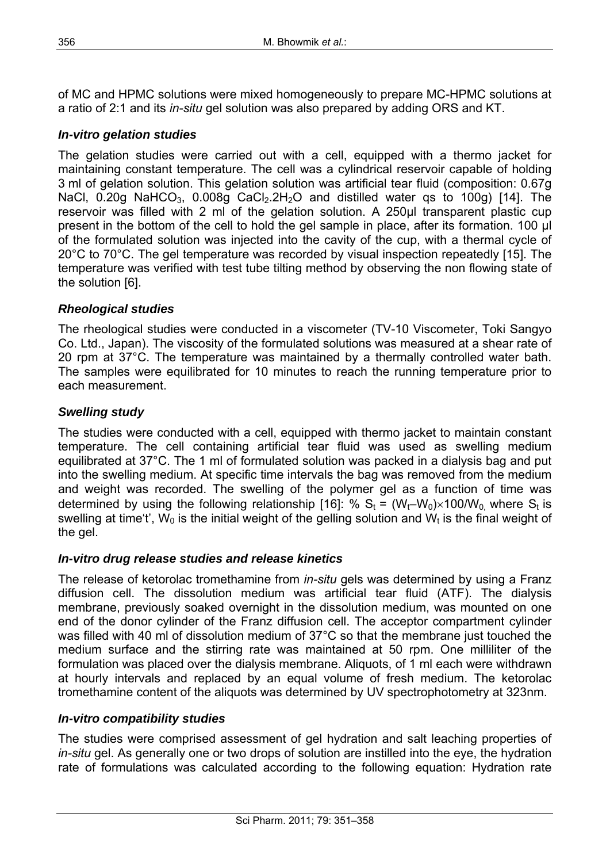of MC and HPMC solutions were mixed homogeneously to prepare MC-HPMC solutions at a ratio of 2:1 and its *in-situ* gel solution was also prepared by adding ORS and KT.

#### *In-vitro gelation studies*

The gelation studies were carried out with a cell, equipped with a thermo jacket for maintaining constant temperature. The cell was a cylindrical reservoir capable of holding 3 ml of gelation solution. This gelation solution was artificial tear fluid (composition: 0.67g NaCl,  $0.20g$  NaHCO<sub>3</sub>,  $0.008g$  CaCl<sub>2</sub>.2H<sub>2</sub>O and distilled water qs to 100g) [14]. The reservoir was filled with 2 ml of the gelation solution. A 250μl transparent plastic cup present in the bottom of the cell to hold the gel sample in place, after its formation. 100 µl of the formulated solution was injected into the cavity of the cup, with a thermal cycle of 20°C to 70°C. The gel temperature was recorded by visual inspection repeatedly [15]. The temperature was verified with test tube tilting method by observing the non flowing state of the solution [6].

#### *Rheological studies*

The rheological studies were conducted in a viscometer (TV-10 Viscometer, Toki Sangyo Co. Ltd., Japan). The viscosity of the formulated solutions was measured at a shear rate of 20 rpm at 37°C. The temperature was maintained by a thermally controlled water bath. The samples were equilibrated for 10 minutes to reach the running temperature prior to each measurement.

#### *Swelling study*

The studies were conducted with a cell, equipped with thermo jacket to maintain constant temperature. The cell containing artificial tear fluid was used as swelling medium equilibrated at 37°C. The 1 ml of formulated solution was packed in a dialysis bag and put into the swelling medium. At specific time intervals the bag was removed from the medium and weight was recorded. The swelling of the polymer gel as a function of time was determined by using the following relationship [16]: %  $S_t = (W_t-W_0) \times 100/W_0$  where  $S_t$  is swelling at time't',  $W_0$  is the initial weight of the gelling solution and  $\dot{W}_t$  is the final weight of the gel.

#### *In-vitro drug release studies and release kinetics*

The release of ketorolac tromethamine from *in-situ* gels was determined by using a Franz diffusion cell. The dissolution medium was artificial tear fluid (ATF). The dialysis membrane, previously soaked overnight in the dissolution medium, was mounted on one end of the donor cylinder of the Franz diffusion cell. The acceptor compartment cylinder was filled with 40 ml of dissolution medium of 37°C so that the membrane just touched the medium surface and the stirring rate was maintained at 50 rpm. One milliliter of the formulation was placed over the dialysis membrane. Aliquots, of 1 ml each were withdrawn at hourly intervals and replaced by an equal volume of fresh medium. The ketorolac tromethamine content of the aliquots was determined by UV spectrophotometry at 323nm.

#### *In-vitro compatibility studies*

The studies were comprised assessment of gel hydration and salt leaching properties of *in-situ* gel. As generally one or two drops of solution are instilled into the eye, the hydration rate of formulations was calculated according to the following equation: Hydration rate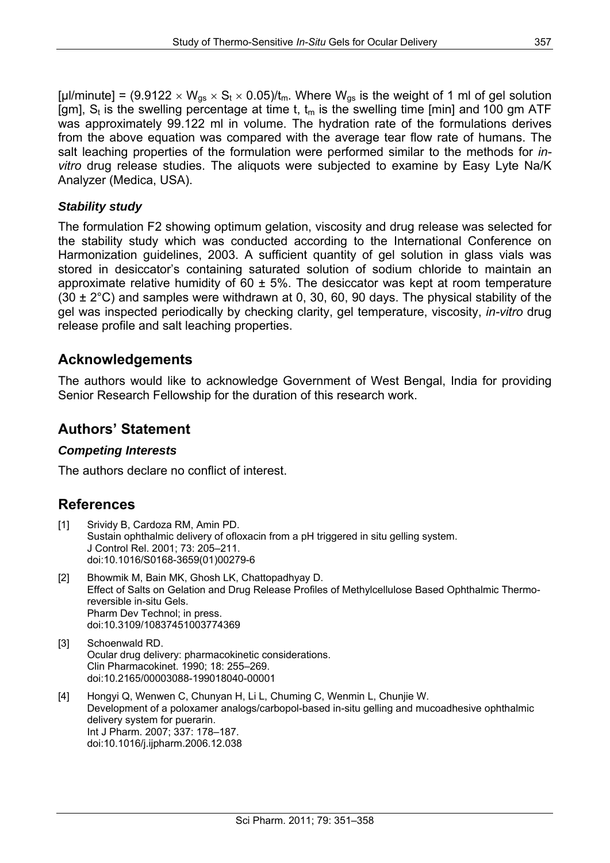[µl/minute] =  $(9.9122 \times W_{gs} \times S_t \times 0.05)$ /t<sub>m</sub>. Where W<sub>gs</sub> is the weight of 1 ml of gel solution [gm],  $S_t$  is the swelling percentage at time t,  $t_m$  is the swelling time [min] and 100 gm ATF was approximately 99.122 ml in volume. The hydration rate of the formulations derives from the above equation was compared with the average tear flow rate of humans. The salt leaching properties of the formulation were performed similar to the methods for *invitro* drug release studies. The aliquots were subjected to examine by Easy Lyte Na/K Analyzer (Medica, USA).

#### *Stability study*

The formulation F2 showing optimum gelation, viscosity and drug release was selected for the stability study which was conducted according to the International Conference on Harmonization guidelines, 2003. A sufficient quantity of gel solution in glass vials was stored in desiccator's containing saturated solution of sodium chloride to maintain an approximate relative humidity of  $60 \pm 5\%$ . The desiccator was kept at room temperature  $(30 \pm 2^{\circ}C)$  and samples were withdrawn at 0, 30, 60, 90 days. The physical stability of the gel was inspected periodically by checking clarity, gel temperature, viscosity, *in-vitro* drug release profile and salt leaching properties.

## **Acknowledgements**

The authors would like to acknowledge Government of West Bengal, India for providing Senior Research Fellowship for the duration of this research work.

## **Authors' Statement**

#### *Competing Interests*

The authors declare no conflict of interest.

# **References**

- [1] Srividy B, Cardoza RM, Amin PD. Sustain ophthalmic delivery of ofloxacin from a pH triggered in situ gelling system. J Control Rel. 2001; 73: 205–211. [doi:10.1016/S0168-3659\(01\)00279-6](http://dx.doi.org/10.1016/S0168-3659(01)00279-6)
- [2] Bhowmik M, Bain MK, Ghosh LK, Chattopadhyay D. Effect of Salts on Gelation and Drug Release Profiles of Methylcellulose Based Ophthalmic Thermoreversible in-situ Gels. Pharm Dev Technol; in press. [doi:10.3109/10837451003774369](http://dx.doi.org/10.3109/10837451003774369)
- [3] Schoenwald RD. Ocular drug delivery: pharmacokinetic considerations. Clin Pharmacokinet. 1990; 18: 255–269. [doi:10.2165/00003088-199018040-00001](http://dx.doi.org/10.2165/00003088-199018040-00001)
- [4] Hongyi Q, Wenwen C, Chunyan H, Li L, Chuming C, Wenmin L, Chunjie W. Development of a poloxamer analogs/carbopol-based in-situ gelling and mucoadhesive ophthalmic delivery system for puerarin. Int J Pharm. 2007; 337: 178–187. [doi:10.1016/j.ijpharm.2006.12.038](http://dx.doi.org/10.1016/j.ijpharm.2006.12.038)